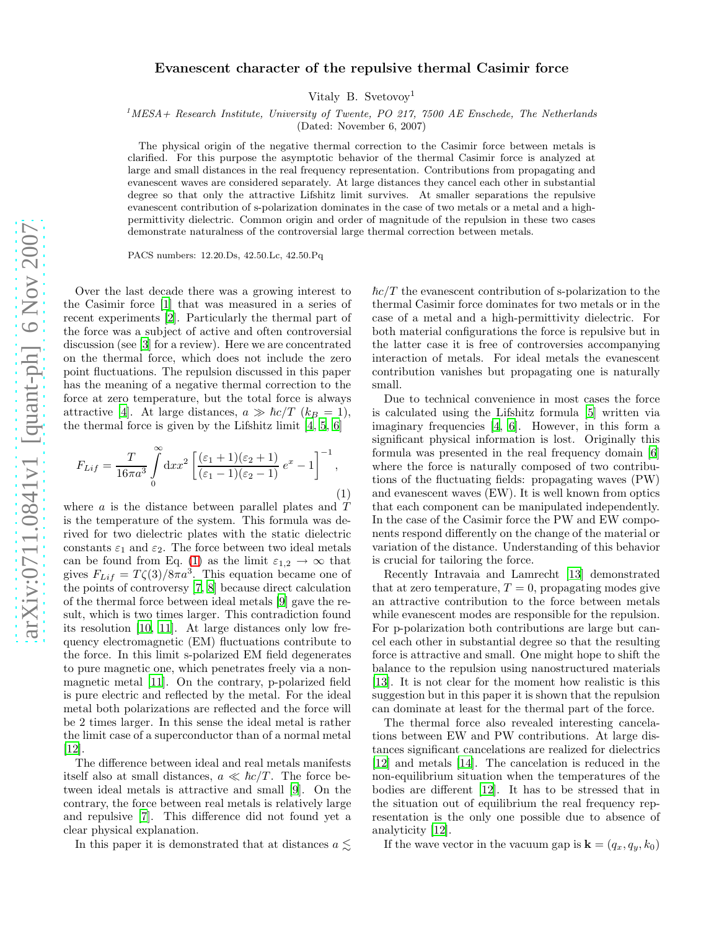## Evanescent character of the repulsive thermal Casimir force

Vitaly B. Svetovoy<sup>1</sup>

 $^{1}$ MESA + Research Institute, University of Twente, PO 217, 7500 AE Enschede, The Netherlands

(Dated: November 6, 2007)

The physical origin of the negative thermal correction to the Casimir force between metals is clarified. For this purpose the asymptotic behavior of the thermal Casimir force is analyzed at large and small distances in the real frequency representation. Contributions from propagating and evanescent waves are considered separately. At large distances they cancel each other in substantial degree so that only the attractive Lifshitz limit survives. At smaller separations the repulsive evanescent contribution of s-polarization dominates in the case of two metals or a metal and a highpermittivity dielectric. Common origin and order of magnitude of the repulsion in these two cases demonstrate naturalness of the controversial large thermal correction between metals.

PACS numbers: 12.20.Ds, 42.50.Lc, 42.50.Pq

Over the last decade there was a growing interest to the Casimir force [\[1](#page-3-0)] that was measured in a series of recent experiments [\[2\]](#page-3-1). Particularly the thermal part of the force was a subject of active and often controversial discussion (see [\[3](#page-3-2)] for a review). Here we are concentrated on the thermal force, which does not include the zero point fluctuations. The repulsion discussed in this paper has the meaning of a negative thermal correction to the force at zero temperature, but the total force is always attractive [\[4\]](#page-3-3). At large distances,  $a \gg \hbar c/T$  ( $k_B = 1$ ), the thermal force is given by the Lifshitz limit [\[4,](#page-3-3) [5,](#page-3-4) [6\]](#page-3-5)

<span id="page-0-0"></span>
$$
F_{Lif} = \frac{T}{16\pi a^3} \int\limits_0^\infty dx x^2 \left[ \frac{(\varepsilon_1 + 1)(\varepsilon_2 + 1)}{(\varepsilon_1 - 1)(\varepsilon_2 - 1)} e^x - 1 \right]^{-1},\tag{1}
$$

where a is the distance between parallel plates and T is the temperature of the system. This formula was derived for two dielectric plates with the static dielectric constants  $\varepsilon_1$  and  $\varepsilon_2$ . The force between two ideal metals can be found from Eq. [\(1\)](#page-0-0) as the limit  $\varepsilon_{1,2} \to \infty$  that gives  $F_{Lif} = T\zeta(3)/8\pi a^3$ . This equation became one of the points of controversy [\[7](#page-3-6), [8](#page-3-7)] because direct calculation of the thermal force between ideal metals [\[9\]](#page-3-8) gave the result, which is two times larger. This contradiction found its resolution [\[10,](#page-3-9) [11\]](#page-3-10). At large distances only low frequency electromagnetic (EM) fluctuations contribute to the force. In this limit s-polarized EM field degenerates to pure magnetic one, which penetrates freely via a nonmagnetic metal [\[11](#page-3-10)]. On the contrary, p-polarized field is pure electric and reflected by the metal. For the ideal metal both polarizations are reflected and the force will be 2 times larger. In this sense the ideal metal is rather the limit case of a superconductor than of a normal metal [\[12\]](#page-3-11).

The difference between ideal and real metals manifests itself also at small distances,  $a \ll \hbar c/T$ . The force between ideal metals is attractive and small [\[9](#page-3-8)]. On the contrary, the force between real metals is relatively large and repulsive [\[7](#page-3-6)]. This difference did not found yet a clear physical explanation.

In this paper it is demonstrated that at distances  $a \lesssim$ 

 $\hbar c/T$  the evanescent contribution of s-polarization to the thermal Casimir force dominates for two metals or in the case of a metal and a high-permittivity dielectric. For both material configurations the force is repulsive but in the latter case it is free of controversies accompanying interaction of metals. For ideal metals the evanescent contribution vanishes but propagating one is naturally small.

Due to technical convenience in most cases the force is calculated using the Lifshitz formula [\[5\]](#page-3-4) written via imaginary frequencies [\[4,](#page-3-3) [6\]](#page-3-5). However, in this form a significant physical information is lost. Originally this formula was presented in the real frequency domain [\[6](#page-3-5)] where the force is naturally composed of two contributions of the fluctuating fields: propagating waves (PW) and evanescent waves (EW). It is well known from optics that each component can be manipulated independently. In the case of the Casimir force the PW and EW components respond differently on the change of the material or variation of the distance. Understanding of this behavior is crucial for tailoring the force.

Recently Intravaia and Lamrecht [\[13\]](#page-3-12) demonstrated that at zero temperature,  $T = 0$ , propagating modes give an attractive contribution to the force between metals while evanescent modes are responsible for the repulsion. For p-polarization both contributions are large but cancel each other in substantial degree so that the resulting force is attractive and small. One might hope to shift the balance to the repulsion using nanostructured materials [\[13\]](#page-3-12). It is not clear for the moment how realistic is this suggestion but in this paper it is shown that the repulsion can dominate at least for the thermal part of the force.

The thermal force also revealed interesting cancelations between EW and PW contributions. At large distances significant cancelations are realized for dielectrics [\[12\]](#page-3-11) and metals [\[14\]](#page-3-13). The cancelation is reduced in the non-equilibrium situation when the temperatures of the bodies are different [\[12](#page-3-11)]. It has to be stressed that in the situation out of equilibrium the real frequency representation is the only one possible due to absence of analyticity [\[12](#page-3-11)].

If the wave vector in the vacuum gap is  $\mathbf{k} = (q_x, q_y, k_0)$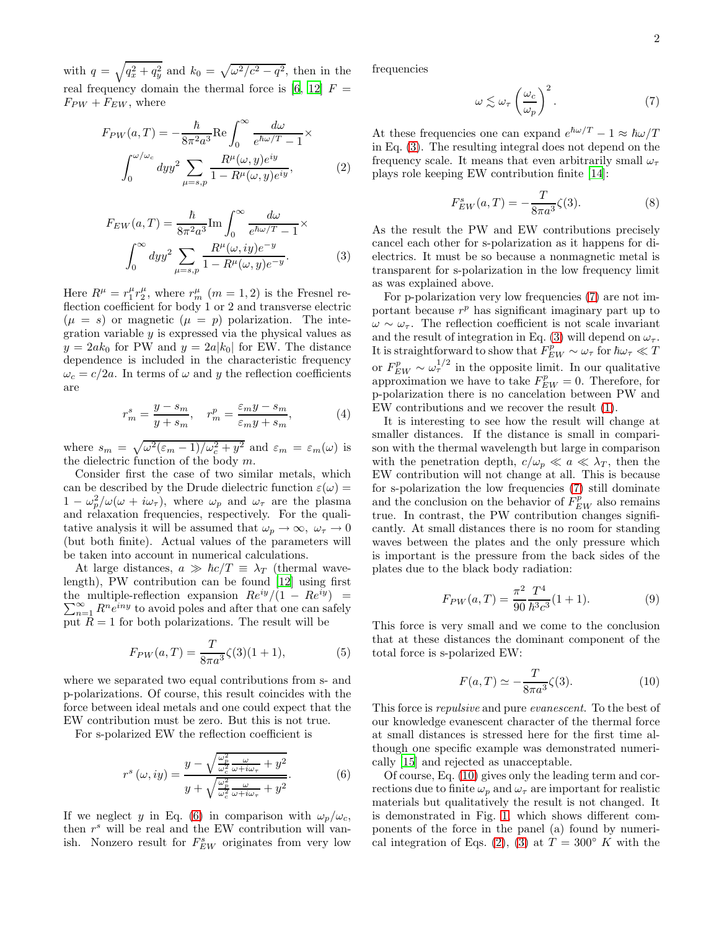with  $q = \sqrt{q_x^2 + q_y^2}$  and  $k_0 = \sqrt{\omega^2/c^2 - q^2}$ , then in the real frequency domain the thermal force is [\[6,](#page-3-5) [12\]](#page-3-11)  $F =$  $F_{PW} + F_{EW}$ , where

$$
F_{PW}(a,T) = -\frac{\hbar}{8\pi^2 a^3} \text{Re} \int_0^\infty \frac{d\omega}{e^{\hbar\omega/T} - 1} \times \int_0^{\omega/\omega_c} dy y^2 \sum_{\mu = s, p} \frac{R^\mu(\omega, y) e^{iy}}{1 - R^\mu(\omega, y) e^{iy}},
$$
(2)

$$
F_{EW}(a,T) = \frac{\hbar}{8\pi^2 a^3} \text{Im} \int_0^\infty \frac{d\omega}{e^{\hbar\omega/T} - 1} \times \int_0^\infty dy y^2 \sum_{\mu=s,p} \frac{R^\mu(\omega, iy)e^{-y}}{1 - R^\mu(\omega, y)e^{-y}}.
$$
 (3)

Here  $R^{\mu} = r_1^{\mu} r_2^{\mu}$ , where  $r_m^{\mu}$  ( $m = 1, 2$ ) is the Fresnel reflection coefficient for body 1 or 2 and transverse electric  $(\mu = s)$  or magnetic  $(\mu = p)$  polarization. The integration variable  $y$  is expressed via the physical values as  $y = 2ak_0$  for PW and  $y = 2a|k_0|$  for EW. The distance dependence is included in the characteristic frequency  $\omega_c = c/2a$ . In terms of  $\omega$  and y the reflection coefficients are

<span id="page-1-5"></span>
$$
r_m^s = \frac{y - s_m}{y + s_m}, \quad r_m^p = \frac{\varepsilon_m y - s_m}{\varepsilon_m y + s_m},\tag{4}
$$

where  $s_m = \sqrt{\omega^2(\epsilon_m - 1)/\omega_c^2 + y^2}$  and  $\epsilon_m = \epsilon_m(\omega)$  is the dielectric function of the body m.

Consider first the case of two similar metals, which can be described by the Drude dielectric function  $\varepsilon(\omega)$  =  $1 - \omega_p^2/\omega(\omega + i\omega_\tau)$ , where  $\omega_p$  and  $\omega_\tau$  are the plasma and relaxation frequencies, respectively. For the qualitative analysis it will be assumed that  $\omega_p \to \infty$ ,  $\omega_{\tau} \to 0$ (but both finite). Actual values of the parameters will be taken into account in numerical calculations.

At large distances,  $a \gg \hbar c/T \equiv \lambda_T$  (thermal wavelength), PW contribution can be found [\[12\]](#page-3-11) using first the multiple-reflection expansion  $Re^{iy}/(1 - Re^{iy})$  $\sum$  $\lim_{n=1}^{\infty} R^n e^{iny}$  to avoid poles and after that one can safely put  $\overline{R} = 1$  for both polarizations. The result will be

$$
F_{PW}(a,T) = \frac{T}{8\pi a^3} \zeta(3)(1+1),\tag{5}
$$

where we separated two equal contributions from s- and p-polarizations. Of course, this result coincides with the force between ideal metals and one could expect that the EW contribution must be zero. But this is not true.

For s-polarized EW the reflection coefficient is

<span id="page-1-0"></span>
$$
r^{s}(\omega, iy) = \frac{y - \sqrt{\frac{\omega_p^2}{\omega_c^2} \frac{\omega}{\omega + i\omega_{\tau}} + y^2}}{y + \sqrt{\frac{\omega_p^2}{\omega_c^2} \frac{\omega}{\omega + i\omega_{\tau}} + y^2}}.
$$
(6)

If we neglect y in Eq. [\(6\)](#page-1-0) in comparison with  $\omega_p/\omega_c$ , then  $r<sup>s</sup>$  will be real and the EW contribution will vanish. Nonzero result for  $F_{EW}^s$  originates from very low frequencies

<span id="page-1-2"></span>
$$
\omega \lesssim \omega_{\tau} \left(\frac{\omega_c}{\omega_p}\right)^2. \tag{7}
$$

<span id="page-1-4"></span>At these frequencies one can expand  $e^{\hbar \omega/T} - 1 \approx \hbar \omega/T$ in Eq. [\(3\)](#page-1-1). The resulting integral does not depend on the frequency scale. It means that even arbitrarily small  $\omega_{\tau}$ plays role keeping EW contribution finite [\[14](#page-3-13)]:

$$
F_{EW}^s(a,T) = -\frac{T}{8\pi a^3} \zeta(3). \tag{8}
$$

<span id="page-1-1"></span>As the result the PW and EW contributions precisely cancel each other for s-polarization as it happens for dielectrics. It must be so because a nonmagnetic metal is transparent for s-polarization in the low frequency limit as was explained above.

For p-polarization very low frequencies [\(7\)](#page-1-2) are not important because  $r^p$  has significant imaginary part up to  $\omega \sim \omega_{\tau}$ . The reflection coefficient is not scale invariant and the result of integration in Eq. [\(3\)](#page-1-1) will depend on  $\omega_{\tau}$ . It is straightforward to show that  $\overline{F}_{EW}^{\overline{p}} \sim \omega_{\tau}$  for  $\hbar \omega_{\tau} \ll T$ or  $F_{EW}^p \sim \omega_\tau^{1/2}$  in the opposite limit. In our qualitative approximation we have to take  $F_{EW}^p = 0$ . Therefore, for p-polarization there is no cancelation between PW and EW contributions and we recover the result [\(1\)](#page-0-0).

It is interesting to see how the result will change at smaller distances. If the distance is small in comparison with the thermal wavelength but large in comparison with the penetration depth,  $c/\omega_p \ll a \ll \lambda_T$ , then the EW contribution will not change at all. This is because for s-polarization the low frequencies [\(7\)](#page-1-2) still dominate and the conclusion on the behavior of  $\tilde{F}_{EW}^{\nu}$  also remains true. In contrast, the PW contribution changes significantly. At small distances there is no room for standing waves between the plates and the only pressure which is important is the pressure from the back sides of the plates due to the black body radiation:

$$
F_{PW}(a,T) = \frac{\pi^2}{90} \frac{T^4}{\hbar^3 c^3} (1+1).
$$
 (9)

This force is very small and we come to the conclusion that at these distances the dominant component of the total force is s-polarized EW:

<span id="page-1-3"></span>
$$
F(a,T) \simeq -\frac{T}{8\pi a^3} \zeta(3). \tag{10}
$$

This force is repulsive and pure evanescent. To the best of our knowledge evanescent character of the thermal force at small distances is stressed here for the first time although one specific example was demonstrated numerically [\[15](#page-3-14)] and rejected as unacceptable.

Of course, Eq. [\(10\)](#page-1-3) gives only the leading term and corrections due to finite  $\omega_p$  and  $\omega_\tau$  are important for realistic materials but qualitatively the result is not changed. It is demonstrated in Fig. [1,](#page-2-0) which shows different components of the force in the panel (a) found by numeri-cal integration of Eqs. [\(2\)](#page-1-4), [\(3\)](#page-1-1) at  $T = 300° K$  with the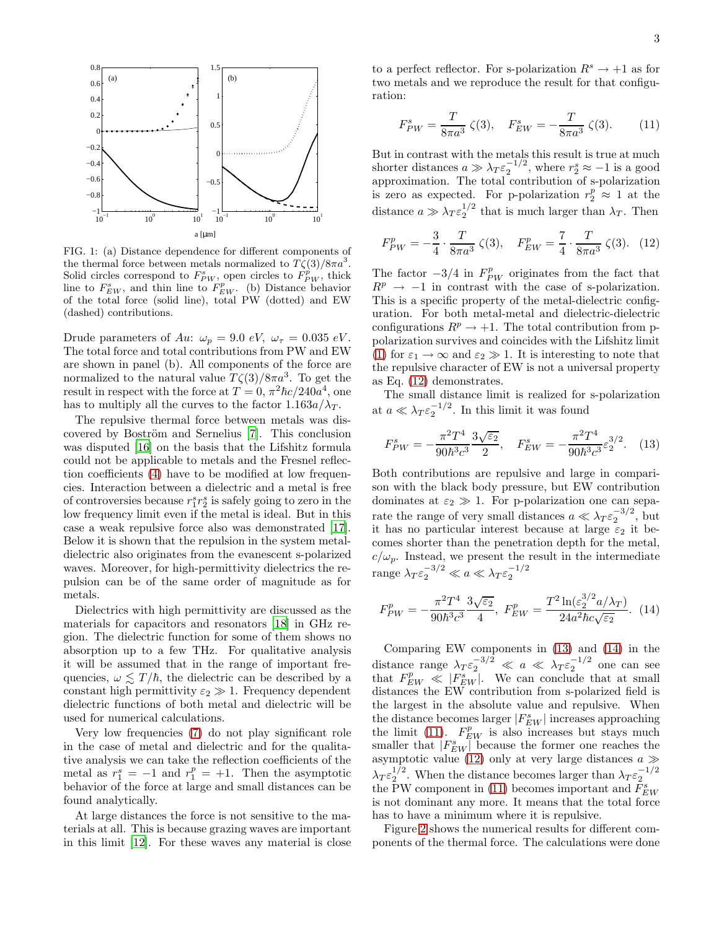

<span id="page-2-0"></span>FIG. 1: (a) Distance dependence for different components of the thermal force between metals normalized to  $T\zeta(3)/8\pi a^3$ . Solid circles correspond to  $F_{PW}^s$ , open circles to  $\overrightarrow{F}_{PW}^p$ , thick line to  $F_{EW}^s$ , and thin line to  $F_{EW}^p$ . (b) Distance behavior of the total force (solid line), total PW (dotted) and EW (dashed) contributions.

Drude parameters of Au:  $\omega_p = 9.0 \text{ eV}, \ \omega_\tau = 0.035 \text{ eV}.$ The total force and total contributions from PW and EW are shown in panel (b). All components of the force are normalized to the natural value  $T\zeta(3)/8\pi a^3$ . To get the result in respect with the force at  $T = 0$ ,  $\pi^2 \hbar c / 240a^4$ , one has to multiply all the curves to the factor  $1.163a/\lambda_T$ .

The repulsive thermal force between metals was dis-covered by Boström and Sernelius [\[7\]](#page-3-6). This conclusion was disputed [\[16](#page-3-15)] on the basis that the Lifshitz formula could not be applicable to metals and the Fresnel reflection coefficients [\(4\)](#page-1-5) have to be modified at low frequencies. Interaction between a dielectric and a metal is free of controversies because  $r_1^s r_2^s$  is safely going to zero in the low frequency limit even if the metal is ideal. But in this case a weak repulsive force also was demonstrated [\[17\]](#page-3-16). Below it is shown that the repulsion in the system metaldielectric also originates from the evanescent s-polarized waves. Moreover, for high-permittivity dielectrics the repulsion can be of the same order of magnitude as for metals.

Dielectrics with high permittivity are discussed as the materials for capacitors and resonators [\[18\]](#page-4-0) in GHz region. The dielectric function for some of them shows no absorption up to a few THz. For qualitative analysis it will be assumed that in the range of important frequencies,  $\omega \lesssim T/\hbar$ , the dielectric can be described by a constant high permittivity  $\varepsilon_2 \gg 1$ . Frequency dependent dielectric functions of both metal and dielectric will be used for numerical calculations.

Very low frequencies [\(7\)](#page-1-2) do not play significant role in the case of metal and dielectric and for the qualitative analysis we can take the reflection coefficients of the metal as  $r_1^s = -1$  and  $r_1^p = +1$ . Then the asymptotic behavior of the force at large and small distances can be found analytically.

At large distances the force is not sensitive to the materials at all. This is because grazing waves are important in this limit [\[12](#page-3-11)]. For these waves any material is close to a perfect reflector. For s-polarization  $R^s \to +1$  as for two metals and we reproduce the result for that configuration:

<span id="page-2-4"></span>
$$
F_{PW}^s = \frac{T}{8\pi a^3} \zeta(3), \quad F_{EW}^s = -\frac{T}{8\pi a^3} \zeta(3). \tag{11}
$$

But in contrast with the metals this result is true at much shorter distances  $a \gg \lambda_T \epsilon_2^{-1/2}$ , where  $r_2^s \approx -1$  is a good approximation. The total contribution of s-polarization is zero as expected. For p-polarization  $r_2^p \approx 1$  at the distance  $a \gg \lambda_T \epsilon_2^{1/2}$  that is much larger than  $\lambda_T$ . Then

<span id="page-2-1"></span>
$$
F_{PW}^p = -\frac{3}{4} \cdot \frac{T}{8\pi a^3} \zeta(3), \quad F_{EW}^p = \frac{7}{4} \cdot \frac{T}{8\pi a^3} \zeta(3). \tag{12}
$$

The factor  $-3/4$  in  $F_{PW}^p$  originates from the fact that  $R^p \rightarrow -1$  in contrast with the case of s-polarization. This is a specific property of the metal-dielectric configuration. For both metal-metal and dielectric-dielectric configurations  $R^p \to +1$ . The total contribution from ppolarization survives and coincides with the Lifshitz limit [\(1\)](#page-0-0) for  $\varepsilon_1 \to \infty$  and  $\varepsilon_2 \gg 1$ . It is interesting to note that the repulsive character of EW is not a universal property as Eq. [\(12\)](#page-2-1) demonstrates.

The small distance limit is realized for s-polarization at  $a \ll \lambda_T \varepsilon_2^{-1/2}$ . In this limit it was found

<span id="page-2-2"></span>
$$
F_{PW}^s = -\frac{\pi^2 T^4}{90\hbar^3 c^3} \frac{3\sqrt{\varepsilon_2}}{2}, \quad F_{EW}^s = -\frac{\pi^2 T^4}{90\hbar^3 c^3} \varepsilon_2^{3/2}.
$$
 (13)

Both contributions are repulsive and large in comparison with the black body pressure, but EW contribution dominates at  $\varepsilon_2 \gg 1$ . For p-polarization one can separate the range of very small distances  $a \ll \lambda_T \varepsilon_2^{-3/2}$ , but it has no particular interest because at large  $\varepsilon_2$  it becomes shorter than the penetration depth for the metal,  $c/\omega_p$ . Instead, we present the result in the intermediate range  $\lambda_T \varepsilon_2^{-3/2} \ll a \ll \lambda_T \varepsilon_2^{-1/2}$ 

<span id="page-2-3"></span>
$$
F_{PW}^p = -\frac{\pi^2 T^4}{90\hbar^3 c^3} \frac{3\sqrt{\varepsilon_2}}{4}, \ F_{EW}^p = \frac{T^2 \ln(\varepsilon_2^{3/2} a/\lambda_T)}{24a^2 \hbar c \sqrt{\varepsilon_2}}. \tag{14}
$$

Comparing EW components in [\(13\)](#page-2-2) and [\(14\)](#page-2-3) in the distance range  $\lambda_T \varepsilon_2^{-3/2} \ll a \ll \lambda_T \varepsilon_2^{-1/2}$  one can see that  $F_{EW}^p \ll |F_{EW}^s|$ . We can conclude that at small distances the EW contribution from s-polarized field is the largest in the absolute value and repulsive. When the distance becomes larger  $|F_{EW}^s|$  increases approaching the limit [\(11\)](#page-2-4).  $F_{EW}^p$  is also increases but stays much smaller that  $|F_{EW}^s|$  because the former one reaches the asymptotic value [\(12\)](#page-2-1) only at very large distances  $a \gg$  $\lambda_T \varepsilon_2^{1/2}$ . When the distance becomes larger than  $\lambda_T \varepsilon_2^{-1/2}$ the PW component in [\(11\)](#page-2-4) becomes important and  $F_{EW}^s$ is not dominant any more. It means that the total force has to have a minimum where it is repulsive.

Figure [2](#page-3-17) shows the numerical results for different components of the thermal force. The calculations were done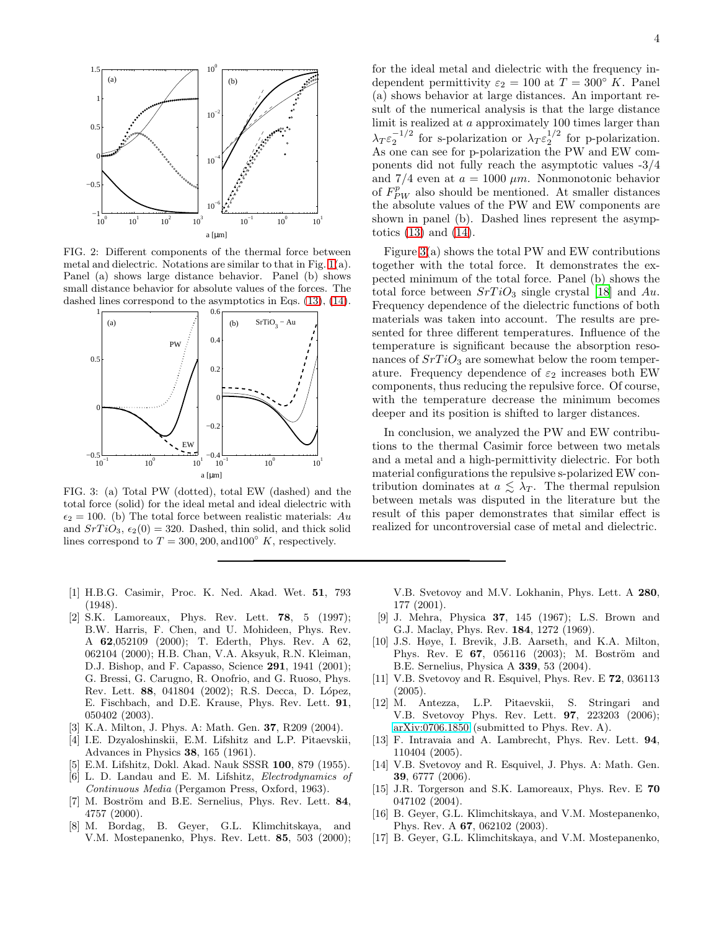

<span id="page-3-17"></span>FIG. 2: Different components of the thermal force between metal and dielectric. Notations are similar to that in Fig. [1\(](#page-2-0)a). Panel (a) shows large distance behavior. Panel (b) shows small distance behavior for absolute values of the forces. The dashed lines correspond to the asymptotics in Eqs. [\(13\)](#page-2-2), [\(14\)](#page-2-3).



<span id="page-3-18"></span>FIG. 3: (a) Total PW (dotted), total EW (dashed) and the total force (solid) for the ideal metal and ideal dielectric with  $\epsilon_2 = 100$ . (b) The total force between realistic materials: Au and  $SrTiO<sub>3</sub>$ ,  $\epsilon_2(0) = 320$ . Dashed, thin solid, and thick solid lines correspond to  $T = 300, 200, \text{and} 100\degree K$ , respectively.

- <span id="page-3-0"></span>[1] H.B.G. Casimir, Proc. K. Ned. Akad. Wet. 51, 793 (1948).
- <span id="page-3-1"></span>[2] S.K. Lamoreaux, Phys. Rev. Lett. 78, 5 (1997); B.W. Harris, F. Chen, and U. Mohideen, Phys. Rev. A 62,052109 (2000); T. Ederth, Phys. Rev. A 62, 062104 (2000); H.B. Chan, V.A. Aksyuk, R.N. Kleiman, D.J. Bishop, and F. Capasso, Science 291, 1941 (2001); G. Bressi, G. Carugno, R. Onofrio, and G. Ruoso, Phys. Rev. Lett. 88, 041804 (2002); R.S. Decca, D. López, E. Fischbach, and D.E. Krause, Phys. Rev. Lett. 91, 050402 (2003).
- <span id="page-3-2"></span>[3] K.A. Milton, J. Phys. A: Math. Gen. 37, R209 (2004).
- <span id="page-3-3"></span>[4] I.E. Dzyaloshinskii, E.M. Lifshitz and L.P. Pitaevskii, Advances in Physics 38, 165 (1961).
- <span id="page-3-4"></span>[5] E.M. Lifshitz, Dokl. Akad. Nauk SSSR 100, 879 (1955).
- <span id="page-3-5"></span>[6] L. D. Landau and E. M. Lifshitz, Electrodynamics of Continuous Media (Pergamon Press, Oxford, 1963).
- <span id="page-3-6"></span>[7] M. Boström and B.E. Sernelius, Phys. Rev. Lett. 84, 4757 (2000).
- <span id="page-3-7"></span>[8] M. Bordag, B. Geyer, G.L. Klimchitskaya, and V.M. Mostepanenko, Phys. Rev. Lett. 85, 503 (2000);

for the ideal metal and dielectric with the frequency independent permittivity  $\varepsilon_2 = 100$  at  $T = 300^\circ$  K. Panel (a) shows behavior at large distances. An important result of the numerical analysis is that the large distance limit is realized at a approximately 100 times larger than  $\lambda_T \varepsilon_2^{-1/2}$  for s-polarization or  $\lambda_T \varepsilon_2^{1/2}$  for p-polarization. As one can see for p-polarization the PW and EW components did not fully reach the asymptotic values -3/4 and 7/4 even at  $a = 1000 \ \mu m$ . Nonmonotonic behavior of  $F_{PW}^{p'}$  also should be mentioned. At smaller distances the absolute values of the PW and EW components are shown in panel (b). Dashed lines represent the asymptotics [\(13\)](#page-2-2) and [\(14\)](#page-2-3).

Figure [3\(](#page-3-18)a) shows the total PW and EW contributions together with the total force. It demonstrates the expected minimum of the total force. Panel (b) shows the total force between  $SrTiO<sub>3</sub>$  single crystal [\[18](#page-4-0)] and Au. Frequency dependence of the dielectric functions of both materials was taken into account. The results are presented for three different temperatures. Influence of the temperature is significant because the absorption resonances of  $SrTiO<sub>3</sub>$  are somewhat below the room temperature. Frequency dependence of  $\varepsilon_2$  increases both EW components, thus reducing the repulsive force. Of course, with the temperature decrease the minimum becomes deeper and its position is shifted to larger distances.

In conclusion, we analyzed the PW and EW contributions to the thermal Casimir force between two metals and a metal and a high-permittivity dielectric. For both material configurations the repulsive s-polarized EW contribution dominates at  $a \lesssim \lambda_T$ . The thermal repulsion between metals was disputed in the literature but the result of this paper demonstrates that similar effect is realized for uncontroversial case of metal and dielectric.

- V.B. Svetovoy and M.V. Lokhanin, Phys. Lett. A 280, 177 (2001).
- <span id="page-3-8"></span>[9] J. Mehra, Physica 37, 145 (1967); L.S. Brown and G.J. Maclay, Phys. Rev. 184, 1272 (1969).
- <span id="page-3-9"></span>[10] J.S. Høye, I. Brevik, J.B. Aarseth, and K.A. Milton, Phys. Rev. E 67, 056116 (2003); M. Boström and B.E. Sernelius, Physica A 339, 53 (2004).
- <span id="page-3-10"></span>[11] V.B. Svetovoy and R. Esquivel, Phys. Rev. E 72, 036113 (2005).
- <span id="page-3-11"></span>[12] M. Antezza, L.P. Pitaevskii, S. Stringari and V.B. Svetovoy Phys. Rev. Lett. 97, 223203 (2006); [arXiv:0706.1850](http://arxiv.org/abs/0706.1850) (submitted to Phys. Rev. A).
- <span id="page-3-12"></span>[13] F. Intravaia and A. Lambrecht, Phys. Rev. Lett. 94, 110404 (2005).
- <span id="page-3-13"></span>[14] V.B. Svetovoy and R. Esquivel, J. Phys. A: Math. Gen. 39, 6777 (2006).
- <span id="page-3-14"></span>[15] J.R. Torgerson and S.K. Lamoreaux, Phys. Rev. E 70 047102 (2004).
- <span id="page-3-15"></span>[16] B. Geyer, G.L. Klimchitskaya, and V.M. Mostepanenko, Phys. Rev. A 67, 062102 (2003).
- <span id="page-3-16"></span>[17] B. Geyer, G.L. Klimchitskaya, and V.M. Mostepanenko,